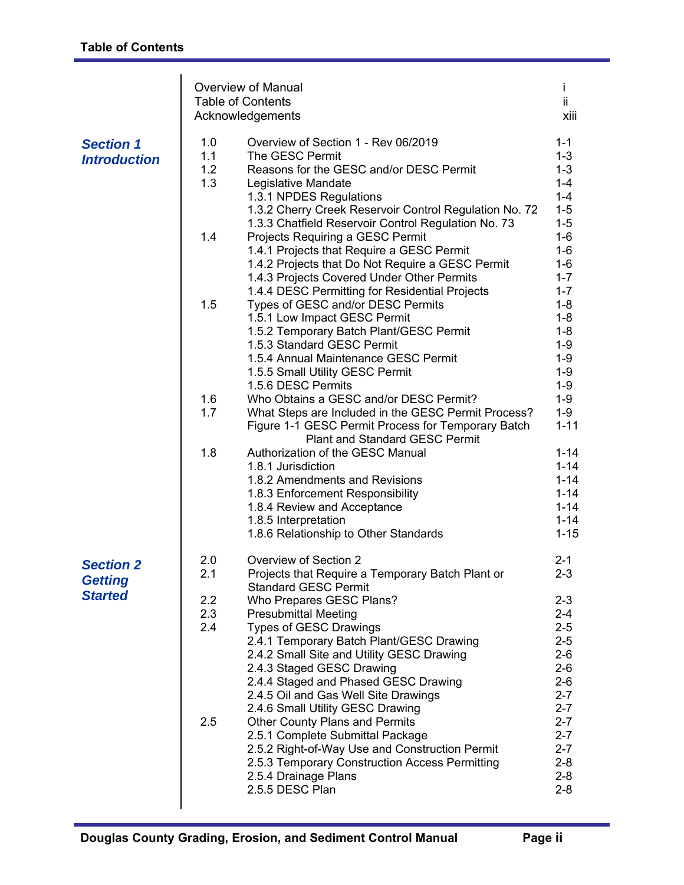|                                                      |                                                             | <b>Overview of Manual</b><br><b>Table of Contents</b><br>Acknowledgements                                                                                                                                                                                                                                                                                                                                                                                                                                                                                                                                                                                                                                                                                                                                                                                                                                                                                                                                                                                                                                                                                                                | Ť<br>ii<br>xiii                                                                                                                                                                                                                                                                                                             |
|------------------------------------------------------|-------------------------------------------------------------|------------------------------------------------------------------------------------------------------------------------------------------------------------------------------------------------------------------------------------------------------------------------------------------------------------------------------------------------------------------------------------------------------------------------------------------------------------------------------------------------------------------------------------------------------------------------------------------------------------------------------------------------------------------------------------------------------------------------------------------------------------------------------------------------------------------------------------------------------------------------------------------------------------------------------------------------------------------------------------------------------------------------------------------------------------------------------------------------------------------------------------------------------------------------------------------|-----------------------------------------------------------------------------------------------------------------------------------------------------------------------------------------------------------------------------------------------------------------------------------------------------------------------------|
| <b>Section 1</b><br><b>Introduction</b>              | 1.0<br>1.1<br>1.2<br>1.3<br>1.4<br>1.5<br>1.6<br>1.7<br>1.8 | Overview of Section 1 - Rev 06/2019<br>The GESC Permit<br>Reasons for the GESC and/or DESC Permit<br>Legislative Mandate<br>1.3.1 NPDES Regulations<br>1.3.2 Cherry Creek Reservoir Control Regulation No. 72<br>1.3.3 Chatfield Reservoir Control Regulation No. 73<br>Projects Requiring a GESC Permit<br>1.4.1 Projects that Require a GESC Permit<br>1.4.2 Projects that Do Not Require a GESC Permit<br>1.4.3 Projects Covered Under Other Permits<br>1.4.4 DESC Permitting for Residential Projects<br>Types of GESC and/or DESC Permits<br>1.5.1 Low Impact GESC Permit<br>1.5.2 Temporary Batch Plant/GESC Permit<br>1.5.3 Standard GESC Permit<br>1.5.4 Annual Maintenance GESC Permit<br>1.5.5 Small Utility GESC Permit<br>1.5.6 DESC Permits<br>Who Obtains a GESC and/or DESC Permit?<br>What Steps are Included in the GESC Permit Process?<br>Figure 1-1 GESC Permit Process for Temporary Batch<br><b>Plant and Standard GESC Permit</b><br>Authorization of the GESC Manual<br>1.8.1 Jurisdiction<br>1.8.2 Amendments and Revisions<br>1.8.3 Enforcement Responsibility<br>1.8.4 Review and Acceptance<br>1.8.5 Interpretation<br>1.8.6 Relationship to Other Standards | $1 - 1$<br>$1 - 3$<br>$1 - 3$<br>$1 - 4$<br>$1 - 4$<br>$1 - 5$<br>$1 - 5$<br>$1-6$<br>$1-6$<br>$1-6$<br>$1 - 7$<br>$1 - 7$<br>$1 - 8$<br>$1 - 8$<br>$1 - 8$<br>$1 - 9$<br>$1 - 9$<br>$1-9$<br>$1 - 9$<br>$1 - 9$<br>$1 - 9$<br>$1 - 11$<br>$1 - 14$<br>$1 - 14$<br>$1 - 14$<br>$1 - 14$<br>$1 - 14$<br>$1 - 14$<br>$1 - 15$ |
| <b>Section 2</b><br><b>Getting</b><br><b>Started</b> | 2.0<br>2.1<br>2.2<br>2.3<br>2.4<br>2.5                      | Overview of Section 2<br>Projects that Require a Temporary Batch Plant or<br><b>Standard GESC Permit</b><br>Who Prepares GESC Plans?<br><b>Presubmittal Meeting</b><br><b>Types of GESC Drawings</b><br>2.4.1 Temporary Batch Plant/GESC Drawing<br>2.4.2 Small Site and Utility GESC Drawing<br>2.4.3 Staged GESC Drawing<br>2.4.4 Staged and Phased GESC Drawing<br>2.4.5 Oil and Gas Well Site Drawings<br>2.4.6 Small Utility GESC Drawing<br><b>Other County Plans and Permits</b><br>2.5.1 Complete Submittal Package<br>2.5.2 Right-of-Way Use and Construction Permit<br>2.5.3 Temporary Construction Access Permitting<br>2.5.4 Drainage Plans<br>2.5.5 DESC Plan                                                                                                                                                                                                                                                                                                                                                                                                                                                                                                               | $2 - 1$<br>2-3<br>$2 - 3$<br>$2 - 4$<br>$2 - 5$<br>$2 - 5$<br>$2 - 6$<br>$2 - 6$<br>$2 - 6$<br>$2 - 7$<br>$2 - 7$<br>$2 - 7$<br>$2 - 7$<br>$2 - 7$<br>$2 - 8$<br>$2 - 8$<br>$2 - 8$                                                                                                                                         |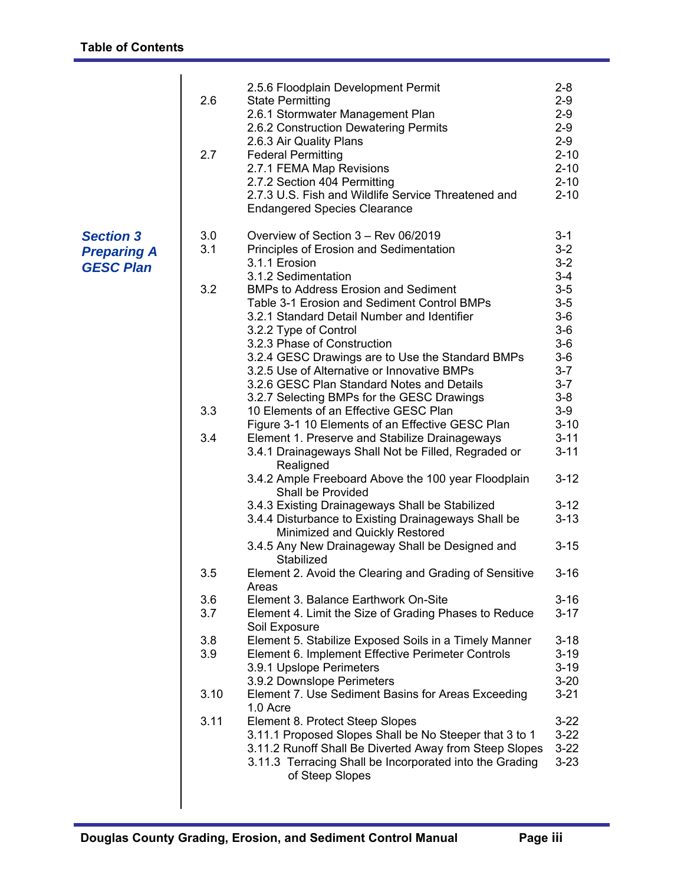| 3.0<br>Overview of Section 3 - Rev 06/2019<br>$3 - 1$<br><b>Section 3</b><br>$3 - 2$<br>3.1<br>Principles of Erosion and Sedimentation<br><b>Preparing A</b><br>$3-2$<br>3.1.1 Erosion<br><b>GESC Plan</b><br>$3 - 4$<br>3.1.2 Sedimentation<br>$3-5$<br>3.2<br><b>BMPs to Address Erosion and Sediment</b><br>Table 3-1 Erosion and Sediment Control BMPs<br>$3-5$<br>$3-6$<br>3.2.1 Standard Detail Number and Identifier<br>$3-6$<br>3.2.2 Type of Control<br>$3-6$<br>3.2.3 Phase of Construction<br>$3-6$<br>3.2.4 GESC Drawings are to Use the Standard BMPs<br>$3 - 7$<br>3.2.5 Use of Alternative or Innovative BMPs<br>$3 - 7$<br>3.2.6 GESC Plan Standard Notes and Details<br>$3-8$<br>3.2.7 Selecting BMPs for the GESC Drawings<br>$3-9$<br>3.3<br>10 Elements of an Effective GESC Plan<br>$3 - 10$<br>Figure 3-1 10 Elements of an Effective GESC Plan<br>$3 - 11$<br>3.4<br>Element 1. Preserve and Stabilize Drainageways<br>$3 - 11$<br>3.4.1 Drainageways Shall Not be Filled, Regraded or<br>Realigned                                                                                                                | 2.6<br>2.7 | 2.5.6 Floodplain Development Permit<br><b>State Permitting</b><br>2.6.1 Stormwater Management Plan<br>2.6.2 Construction Dewatering Permits<br>2.6.3 Air Quality Plans<br><b>Federal Permitting</b><br>2.7.1 FEMA Map Revisions<br>2.7.2 Section 404 Permitting<br>2.7.3 U.S. Fish and Wildlife Service Threatened and<br><b>Endangered Species Clearance</b> | $2 - 8$<br>$2 - 9$<br>$2 - 9$<br>$2 - 9$<br>$2 - 9$<br>$2 - 10$<br>$2 - 10$<br>$2 - 10$<br>$2 - 10$ |
|-------------------------------------------------------------------------------------------------------------------------------------------------------------------------------------------------------------------------------------------------------------------------------------------------------------------------------------------------------------------------------------------------------------------------------------------------------------------------------------------------------------------------------------------------------------------------------------------------------------------------------------------------------------------------------------------------------------------------------------------------------------------------------------------------------------------------------------------------------------------------------------------------------------------------------------------------------------------------------------------------------------------------------------------------------------------------------------------------------------------------------------------|------------|---------------------------------------------------------------------------------------------------------------------------------------------------------------------------------------------------------------------------------------------------------------------------------------------------------------------------------------------------------------|-----------------------------------------------------------------------------------------------------|
| Shall be Provided<br>3.4.3 Existing Drainageways Shall be Stabilized<br>$3 - 12$<br>3.4.4 Disturbance to Existing Drainageways Shall be<br>$3 - 13$<br>Minimized and Quickly Restored<br>3.4.5 Any New Drainageway Shall be Designed and<br>$3 - 15$<br>Stabilized<br>Element 2. Avoid the Clearing and Grading of Sensitive<br>$3 - 16$<br>3.5<br>Areas<br>3.6<br>Element 3. Balance Earthwork On-Site<br>$3 - 16$<br>3.7<br>$3 - 17$<br>Element 4. Limit the Size of Grading Phases to Reduce<br>Soil Exposure<br>Element 5. Stabilize Exposed Soils in a Timely Manner<br>$3 - 18$<br>3.8<br>3.9<br>Element 6. Implement Effective Perimeter Controls<br>$3 - 19$<br>3.9.1 Upslope Perimeters<br>$3 - 19$<br>3.9.2 Downslope Perimeters<br>$3 - 20$<br>3.10<br>Element 7. Use Sediment Basins for Areas Exceeding<br>$3 - 21$<br>1.0 Acre<br>3.11<br>Element 8. Protect Steep Slopes<br>$3 - 22$<br>3.11.1 Proposed Slopes Shall be No Steeper that 3 to 1<br>$3 - 22$<br>3.11.2 Runoff Shall Be Diverted Away from Steep Slopes<br>$3 - 22$<br>3.11.3 Terracing Shall be Incorporated into the Grading<br>$3 - 23$<br>of Steep Slopes |            | 3.4.2 Ample Freeboard Above the 100 year Floodplain                                                                                                                                                                                                                                                                                                           | $3 - 12$                                                                                            |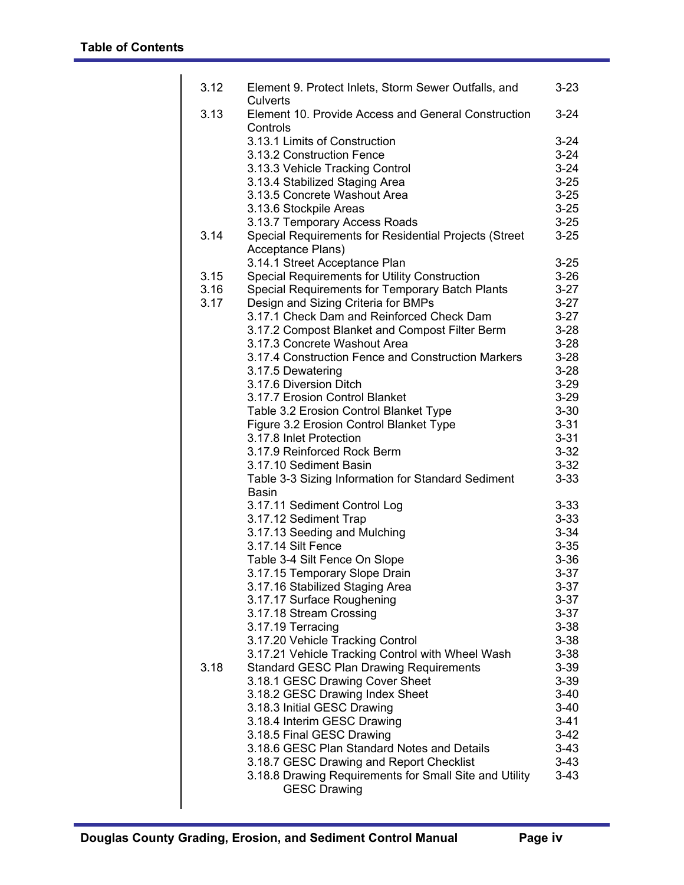| 3.12 | Element 9. Protect Inlets, Storm Sewer Outfalls, and<br>Culverts           | $3 - 23$ |
|------|----------------------------------------------------------------------------|----------|
| 3.13 | Element 10. Provide Access and General Construction                        | $3 - 24$ |
|      | Controls                                                                   |          |
|      | 3.13.1 Limits of Construction                                              | $3 - 24$ |
|      | 3.13.2 Construction Fence                                                  | $3 - 24$ |
|      | 3.13.3 Vehicle Tracking Control                                            | $3 - 24$ |
|      | 3.13.4 Stabilized Staging Area                                             | $3 - 25$ |
|      | 3.13.5 Concrete Washout Area                                               | $3 - 25$ |
|      | 3.13.6 Stockpile Areas                                                     | $3 - 25$ |
|      | 3.13.7 Temporary Access Roads                                              | $3 - 25$ |
| 3.14 | Special Requirements for Residential Projects (Street<br>Acceptance Plans) | $3 - 25$ |
|      | 3.14.1 Street Acceptance Plan                                              | $3 - 25$ |
| 3.15 | Special Requirements for Utility Construction                              | $3 - 26$ |
| 3.16 | Special Requirements for Temporary Batch Plants                            | $3 - 27$ |
| 3.17 | Design and Sizing Criteria for BMPs                                        | $3-27$   |
|      | 3.17.1 Check Dam and Reinforced Check Dam                                  | $3-27$   |
|      | 3.17.2 Compost Blanket and Compost Filter Berm                             | $3 - 28$ |
|      | 3.17.3 Concrete Washout Area                                               | $3 - 28$ |
|      | 3.17.4 Construction Fence and Construction Markers                         | $3 - 28$ |
|      | 3.17.5 Dewatering                                                          | $3 - 28$ |
|      | 3.17.6 Diversion Ditch                                                     | $3 - 29$ |
|      | 3.17.7 Erosion Control Blanket                                             | $3 - 29$ |
|      | Table 3.2 Erosion Control Blanket Type                                     | $3 - 30$ |
|      | Figure 3.2 Erosion Control Blanket Type                                    | $3 - 31$ |
|      | 3.17.8 Inlet Protection                                                    | $3 - 31$ |
|      | 3.17.9 Reinforced Rock Berm                                                | $3 - 32$ |
|      | 3.17.10 Sediment Basin                                                     | $3 - 32$ |
|      | Table 3-3 Sizing Information for Standard Sediment                         | $3 - 33$ |
|      | Basin                                                                      | $3 - 33$ |
|      | 3.17.11 Sediment Control Log<br>3.17.12 Sediment Trap                      | $3 - 33$ |
|      | 3.17.13 Seeding and Mulching                                               | $3 - 34$ |
|      | 3.17.14 Silt Fence                                                         | $3 - 35$ |
|      | Table 3-4 Silt Fence On Slope                                              | $3 - 36$ |
|      | 3.17.15 Temporary Slope Drain                                              | $3 - 37$ |
|      | 3.17.16 Stabilized Staging Area                                            | $3 - 37$ |
|      | 3.17.17 Surface Roughening                                                 | $3 - 37$ |
|      | 3.17.18 Stream Crossing                                                    | $3 - 37$ |
|      | 3.17.19 Terracing                                                          | $3 - 38$ |
|      | 3.17.20 Vehicle Tracking Control                                           | $3 - 38$ |
|      | 3.17.21 Vehicle Tracking Control with Wheel Wash                           | $3 - 38$ |
| 3.18 | <b>Standard GESC Plan Drawing Requirements</b>                             | $3 - 39$ |
|      | 3.18.1 GESC Drawing Cover Sheet                                            | $3 - 39$ |
|      | 3.18.2 GESC Drawing Index Sheet                                            | $3-40$   |
|      | 3.18.3 Initial GESC Drawing                                                | $3 - 40$ |
|      | 3.18.4 Interim GESC Drawing                                                | $3 - 41$ |
|      | 3.18.5 Final GESC Drawing                                                  | $3-42$   |
|      | 3.18.6 GESC Plan Standard Notes and Details                                | $3-43$   |
|      | 3.18.7 GESC Drawing and Report Checklist                                   | $3-43$   |
|      | 3.18.8 Drawing Requirements for Small Site and Utility                     | $3 - 43$ |
|      | <b>GESC Drawing</b>                                                        |          |
|      |                                                                            |          |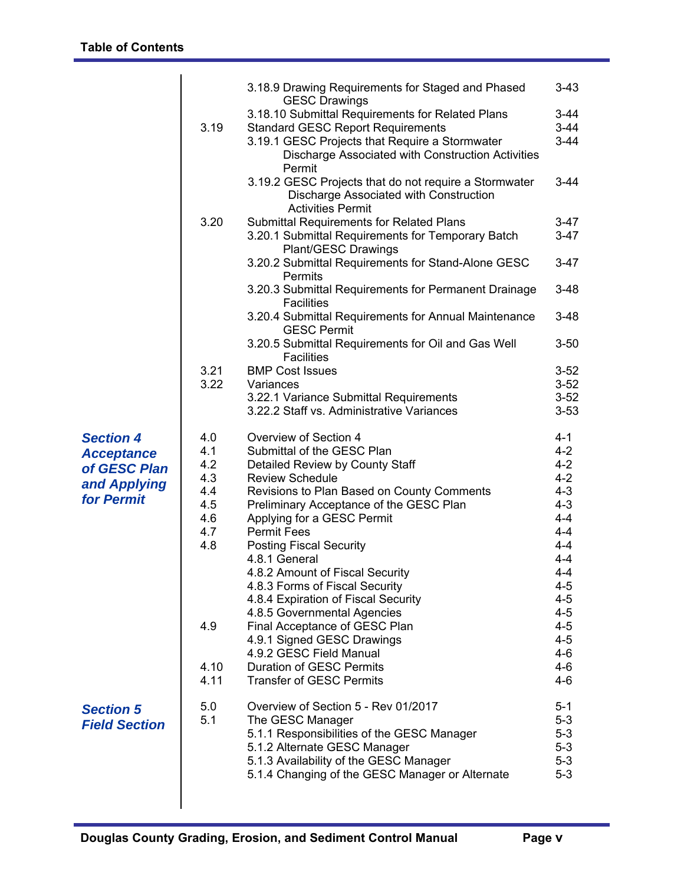|                                                                                     |                                                                                    | 3.18.9 Drawing Requirements for Staged and Phased                                                                                                                                                                                                                                                                                                                                                                                                                                                                                                                                                                           | $3 - 43$                                                                                                                                                                                                  |
|-------------------------------------------------------------------------------------|------------------------------------------------------------------------------------|-----------------------------------------------------------------------------------------------------------------------------------------------------------------------------------------------------------------------------------------------------------------------------------------------------------------------------------------------------------------------------------------------------------------------------------------------------------------------------------------------------------------------------------------------------------------------------------------------------------------------------|-----------------------------------------------------------------------------------------------------------------------------------------------------------------------------------------------------------|
|                                                                                     | 3.19                                                                               | <b>GESC Drawings</b><br>3.18.10 Submittal Requirements for Related Plans<br><b>Standard GESC Report Requirements</b><br>3.19.1 GESC Projects that Require a Stormwater<br>Discharge Associated with Construction Activities<br>Permit                                                                                                                                                                                                                                                                                                                                                                                       | $3 - 44$<br>$3 - 44$<br>$3-44$                                                                                                                                                                            |
|                                                                                     |                                                                                    | 3.19.2 GESC Projects that do not require a Stormwater<br>Discharge Associated with Construction<br><b>Activities Permit</b>                                                                                                                                                                                                                                                                                                                                                                                                                                                                                                 | $3 - 44$                                                                                                                                                                                                  |
|                                                                                     | 3.20                                                                               | <b>Submittal Requirements for Related Plans</b><br>3.20.1 Submittal Requirements for Temporary Batch<br><b>Plant/GESC Drawings</b>                                                                                                                                                                                                                                                                                                                                                                                                                                                                                          | $3 - 47$<br>$3-47$                                                                                                                                                                                        |
|                                                                                     |                                                                                    | 3.20.2 Submittal Requirements for Stand-Alone GESC<br>Permits                                                                                                                                                                                                                                                                                                                                                                                                                                                                                                                                                               | $3 - 47$                                                                                                                                                                                                  |
|                                                                                     |                                                                                    | 3.20.3 Submittal Requirements for Permanent Drainage<br><b>Facilities</b>                                                                                                                                                                                                                                                                                                                                                                                                                                                                                                                                                   | $3 - 48$                                                                                                                                                                                                  |
|                                                                                     |                                                                                    | 3.20.4 Submittal Requirements for Annual Maintenance<br><b>GESC Permit</b>                                                                                                                                                                                                                                                                                                                                                                                                                                                                                                                                                  | $3 - 48$                                                                                                                                                                                                  |
|                                                                                     |                                                                                    | 3.20.5 Submittal Requirements for Oil and Gas Well<br><b>Facilities</b>                                                                                                                                                                                                                                                                                                                                                                                                                                                                                                                                                     | $3 - 50$                                                                                                                                                                                                  |
|                                                                                     | 3.21                                                                               | <b>BMP Cost Issues</b>                                                                                                                                                                                                                                                                                                                                                                                                                                                                                                                                                                                                      | $3 - 52$                                                                                                                                                                                                  |
|                                                                                     | 3.22                                                                               | Variances<br>3.22.1 Variance Submittal Requirements                                                                                                                                                                                                                                                                                                                                                                                                                                                                                                                                                                         | $3 - 52$<br>$3 - 52$                                                                                                                                                                                      |
|                                                                                     |                                                                                    | 3.22.2 Staff vs. Administrative Variances                                                                                                                                                                                                                                                                                                                                                                                                                                                                                                                                                                                   | $3 - 53$                                                                                                                                                                                                  |
| <b>Section 4</b><br><b>Acceptance</b><br>of GESC Plan<br>and Applying<br>for Permit | 4.0<br>4.1<br>4.2<br>4.3<br>4.4<br>4.5<br>4.6<br>4.7<br>4.8<br>4.9<br>4.10<br>4.11 | Overview of Section 4<br>Submittal of the GESC Plan<br>Detailed Review by County Staff<br><b>Review Schedule</b><br>Revisions to Plan Based on County Comments<br>Preliminary Acceptance of the GESC Plan<br>Applying for a GESC Permit<br><b>Permit Fees</b><br><b>Posting Fiscal Security</b><br>4.8.1 General<br>4.8.2 Amount of Fiscal Security<br>4.8.3 Forms of Fiscal Security<br>4.8.4 Expiration of Fiscal Security<br>4.8.5 Governmental Agencies<br>Final Acceptance of GESC Plan<br>4.9.1 Signed GESC Drawings<br>4.9.2 GESC Field Manual<br><b>Duration of GESC Permits</b><br><b>Transfer of GESC Permits</b> | $4 - 1$<br>$4 - 2$<br>$4 - 2$<br>$4 - 2$<br>$4 - 3$<br>$4 - 3$<br>$4 - 4$<br>$4 - 4$<br>$4 - 4$<br>$4 - 4$<br>$4 - 4$<br>4-5<br>$4 - 5$<br>$4 - 5$<br>$4 - 5$<br>$4 - 5$<br>$4 - 6$<br>$4 - 6$<br>$4 - 6$ |
| <b>Section 5</b><br><b>Field Section</b>                                            | 5.0<br>5.1                                                                         | Overview of Section 5 - Rev 01/2017<br>The GESC Manager<br>5.1.1 Responsibilities of the GESC Manager<br>5.1.2 Alternate GESC Manager<br>5.1.3 Availability of the GESC Manager<br>5.1.4 Changing of the GESC Manager or Alternate                                                                                                                                                                                                                                                                                                                                                                                          | $5 - 1$<br>$5 - 3$<br>$5-3$<br>$5-3$<br>$5 - 3$<br>$5 - 3$                                                                                                                                                |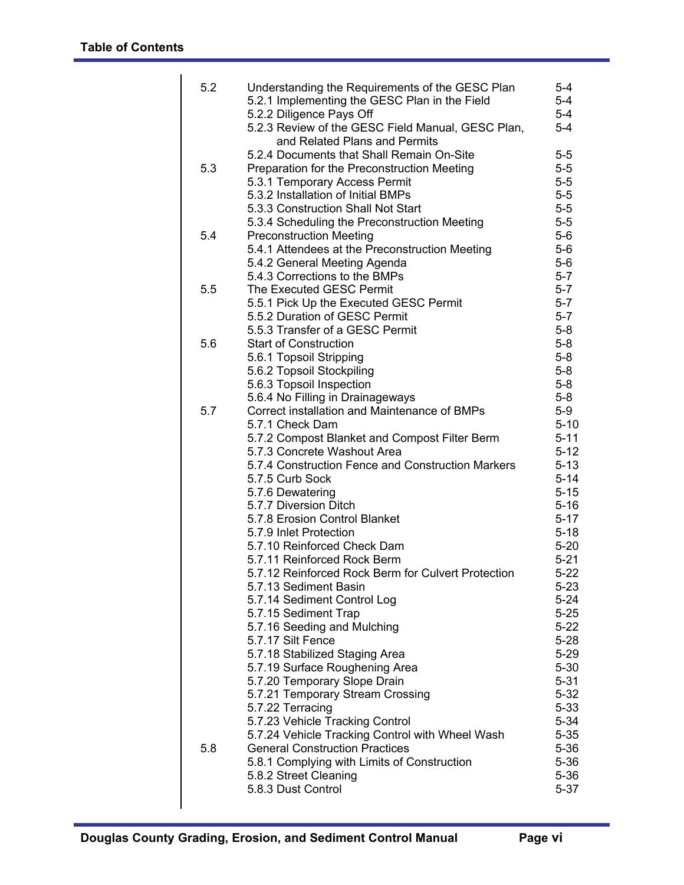| 5.2 | Understanding the Requirements of the GESC Plan<br>5.2.1 Implementing the GESC Plan in the Field<br>5.2.2 Diligence Pays Off<br>5.2.3 Review of the GESC Field Manual, GESC Plan, | $5 - 4$<br>$5 - 4$<br>$5-4$<br>$5-4$ |
|-----|-----------------------------------------------------------------------------------------------------------------------------------------------------------------------------------|--------------------------------------|
|     | and Related Plans and Permits                                                                                                                                                     |                                      |
|     | 5.2.4 Documents that Shall Remain On-Site                                                                                                                                         | $5-5$                                |
| 5.3 | Preparation for the Preconstruction Meeting                                                                                                                                       | $5-5$                                |
|     | 5.3.1 Temporary Access Permit                                                                                                                                                     | $5-5$                                |
|     | 5.3.2 Installation of Initial BMPs                                                                                                                                                | $5-5$                                |
|     | 5.3.3 Construction Shall Not Start                                                                                                                                                | $5-5$                                |
|     | 5.3.4 Scheduling the Preconstruction Meeting                                                                                                                                      | $5-5$                                |
| 5.4 | <b>Preconstruction Meeting</b>                                                                                                                                                    | $5-6$                                |
|     | 5.4.1 Attendees at the Preconstruction Meeting                                                                                                                                    | $5-6$                                |
|     | 5.4.2 General Meeting Agenda                                                                                                                                                      | $5-6$                                |
|     | 5.4.3 Corrections to the BMPs                                                                                                                                                     | $5 - 7$                              |
| 5.5 | The Executed GESC Permit                                                                                                                                                          | $5-7$                                |
|     | 5.5.1 Pick Up the Executed GESC Permit                                                                                                                                            | $5-7$                                |
|     | 5.5.2 Duration of GESC Permit                                                                                                                                                     | $5 - 7$                              |
|     | 5.5.3 Transfer of a GESC Permit                                                                                                                                                   | $5-8$                                |
| 5.6 | <b>Start of Construction</b>                                                                                                                                                      | $5-8$                                |
|     | 5.6.1 Topsoil Stripping                                                                                                                                                           | $5-8$                                |
|     | 5.6.2 Topsoil Stockpiling                                                                                                                                                         | $5-8$                                |
|     | 5.6.3 Topsoil Inspection                                                                                                                                                          | $5-8$                                |
|     | 5.6.4 No Filling in Drainageways                                                                                                                                                  | $5-8$                                |
| 5.7 | Correct installation and Maintenance of BMPs                                                                                                                                      | $5-9$                                |
|     | 5.7.1 Check Dam                                                                                                                                                                   | $5 - 10$                             |
|     | 5.7.2 Compost Blanket and Compost Filter Berm                                                                                                                                     | $5 - 11$                             |
|     | 5.7.3 Concrete Washout Area<br>5.7.4 Construction Fence and Construction Markers                                                                                                  | $5 - 12$<br>$5 - 13$                 |
|     | 5.7.5 Curb Sock                                                                                                                                                                   | $5 - 14$                             |
|     | 5.7.6 Dewatering                                                                                                                                                                  | $5 - 15$                             |
|     | 5.7.7 Diversion Ditch                                                                                                                                                             | $5 - 16$                             |
|     | 5.7.8 Erosion Control Blanket                                                                                                                                                     | $5 - 17$                             |
|     | 5.7.9 Inlet Protection                                                                                                                                                            | $5 - 18$                             |
|     | 5.7.10 Reinforced Check Dam                                                                                                                                                       | $5 - 20$                             |
|     | 5.7.11 Reinforced Rock Berm                                                                                                                                                       | $5 - 21$                             |
|     | 5.7.12 Reinforced Rock Berm for Culvert Protection                                                                                                                                | $5 - 22$                             |
|     | 5.7.13 Sediment Basin                                                                                                                                                             | $5 - 23$                             |
|     | 5.7.14 Sediment Control Log                                                                                                                                                       | 5-24                                 |
|     | 5.7.15 Sediment Trap                                                                                                                                                              | $5 - 25$                             |
|     | 5.7.16 Seeding and Mulching                                                                                                                                                       | $5 - 22$                             |
|     | 5.7.17 Silt Fence                                                                                                                                                                 | $5 - 28$                             |
|     | 5.7.18 Stabilized Staging Area                                                                                                                                                    | $5 - 29$                             |
|     | 5.7.19 Surface Roughening Area                                                                                                                                                    | $5 - 30$                             |
|     | 5.7.20 Temporary Slope Drain                                                                                                                                                      | $5 - 31$                             |
|     | 5.7.21 Temporary Stream Crossing                                                                                                                                                  | $5 - 32$                             |
|     | 5.7.22 Terracing                                                                                                                                                                  | $5 - 33$                             |
|     | 5.7.23 Vehicle Tracking Control                                                                                                                                                   | $5 - 34$                             |
|     | 5.7.24 Vehicle Tracking Control with Wheel Wash                                                                                                                                   | $5 - 35$                             |
| 5.8 | <b>General Construction Practices</b>                                                                                                                                             | $5 - 36$                             |
|     | 5.8.1 Complying with Limits of Construction                                                                                                                                       | $5 - 36$                             |
|     | 5.8.2 Street Cleaning                                                                                                                                                             | $5 - 36$                             |
|     | 5.8.3 Dust Control                                                                                                                                                                | $5 - 37$                             |
|     |                                                                                                                                                                                   |                                      |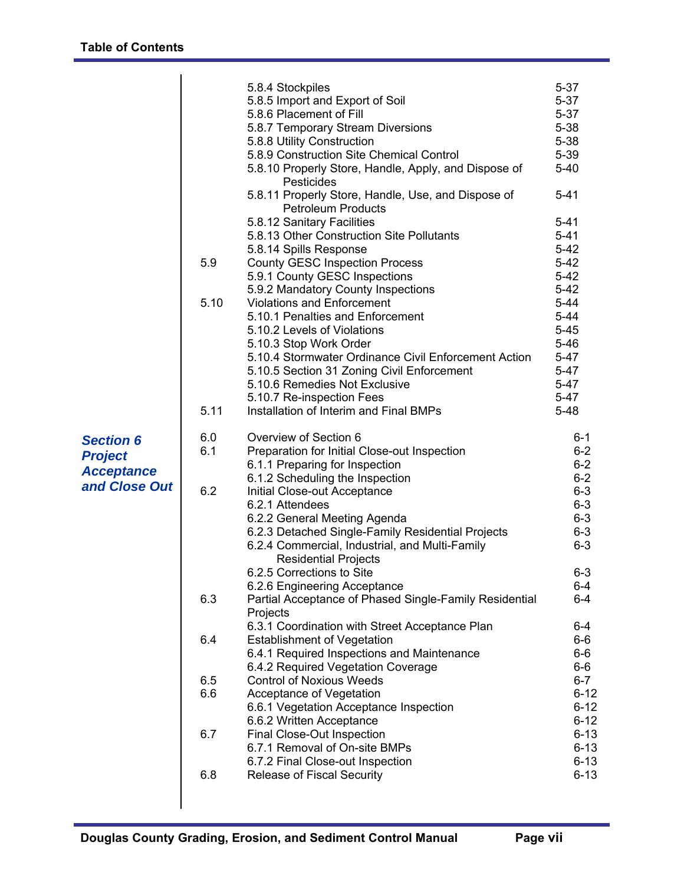|                                    |      | 5.8.4 Stockpiles                                                                  | $5 - 37$             |
|------------------------------------|------|-----------------------------------------------------------------------------------|----------------------|
|                                    |      | 5.8.5 Import and Export of Soil                                                   | $5 - 37$             |
|                                    |      | 5.8.6 Placement of Fill                                                           | $5 - 37$             |
|                                    |      | 5.8.7 Temporary Stream Diversions                                                 | $5 - 38$             |
|                                    |      | 5.8.8 Utility Construction<br>5.8.9 Construction Site Chemical Control            | $5 - 38$<br>$5 - 39$ |
|                                    |      | 5.8.10 Properly Store, Handle, Apply, and Dispose of                              | $5 - 40$             |
|                                    |      | Pesticides                                                                        |                      |
|                                    |      | 5.8.11 Properly Store, Handle, Use, and Dispose of                                | $5 - 41$             |
|                                    |      | <b>Petroleum Products</b>                                                         |                      |
|                                    |      | 5.8.12 Sanitary Facilities                                                        | $5 - 41$             |
|                                    |      | 5.8.13 Other Construction Site Pollutants                                         | $5 - 41$             |
|                                    |      | 5.8.14 Spills Response                                                            | $5 - 42$             |
|                                    | 5.9  | <b>County GESC Inspection Process</b>                                             | $5 - 42$             |
|                                    |      | 5.9.1 County GESC Inspections<br>5.9.2 Mandatory County Inspections               | $5 - 42$<br>$5 - 42$ |
|                                    | 5.10 | <b>Violations and Enforcement</b>                                                 | $5 - 44$             |
|                                    |      | 5.10.1 Penalties and Enforcement                                                  | $5 - 44$             |
|                                    |      | 5.10.2 Levels of Violations                                                       | $5 - 45$             |
|                                    |      | 5.10.3 Stop Work Order                                                            | $5 - 46$             |
|                                    |      | 5.10.4 Stormwater Ordinance Civil Enforcement Action                              | $5 - 47$             |
|                                    |      | 5.10.5 Section 31 Zoning Civil Enforcement                                        | $5 - 47$             |
|                                    |      | 5.10.6 Remedies Not Exclusive                                                     | $5 - 47$             |
|                                    |      | 5.10.7 Re-inspection Fees                                                         | $5 - 47$             |
|                                    | 5.11 | Installation of Interim and Final BMPs                                            | $5 - 48$             |
| <b>Section 6</b>                   | 6.0  | Overview of Section 6                                                             | $6 - 1$              |
|                                    | 6.1  | Preparation for Initial Close-out Inspection                                      | $6 - 2$              |
| <b>Project</b>                     |      | 6.1.1 Preparing for Inspection                                                    | $6 - 2$              |
| <b>Acceptance</b><br>and Close Out |      | 6.1.2 Scheduling the Inspection                                                   | $6 - 2$              |
|                                    | 6.2  | Initial Close-out Acceptance                                                      | $6-3$                |
|                                    |      | 6.2.1 Attendees                                                                   | $6 - 3$              |
|                                    |      | 6.2.2 General Meeting Agenda<br>6.2.3 Detached Single-Family Residential Projects | $6 - 3$<br>$6 - 3$   |
|                                    |      | 6.2.4 Commercial, Industrial, and Multi-Family                                    | $6 - 3$              |
|                                    |      | <b>Residential Projects</b>                                                       |                      |
|                                    |      | 6.2.5 Corrections to Site                                                         | $6 - 3$              |
|                                    |      | 6.2.6 Engineering Acceptance                                                      | $6-4$                |
|                                    | 6.3  | Partial Acceptance of Phased Single-Family Residential                            | $6-4$                |
|                                    |      | Projects                                                                          |                      |
|                                    |      | 6.3.1 Coordination with Street Acceptance Plan                                    | 6-4                  |
|                                    | 6.4  | <b>Establishment of Vegetation</b><br>6.4.1 Required Inspections and Maintenance  | $6-6$<br>$6-6$       |
|                                    |      | 6.4.2 Required Vegetation Coverage                                                | $6-6$                |
|                                    | 6.5  | <b>Control of Noxious Weeds</b>                                                   | $6 - 7$              |
|                                    | 6.6  | Acceptance of Vegetation                                                          | $6 - 12$             |
|                                    |      | 6.6.1 Vegetation Acceptance Inspection                                            | $6 - 12$             |
|                                    |      | 6.6.2 Written Acceptance                                                          | $6 - 12$             |
|                                    | 6.7  | Final Close-Out Inspection                                                        | $6 - 13$             |
|                                    |      | 6.7.1 Removal of On-site BMPs                                                     | $6 - 13$             |
|                                    |      | 6.7.2 Final Close-out Inspection                                                  | $6 - 13$             |
|                                    | 6.8  | <b>Release of Fiscal Security</b>                                                 | $6 - 13$             |
|                                    |      |                                                                                   |                      |
|                                    |      |                                                                                   |                      |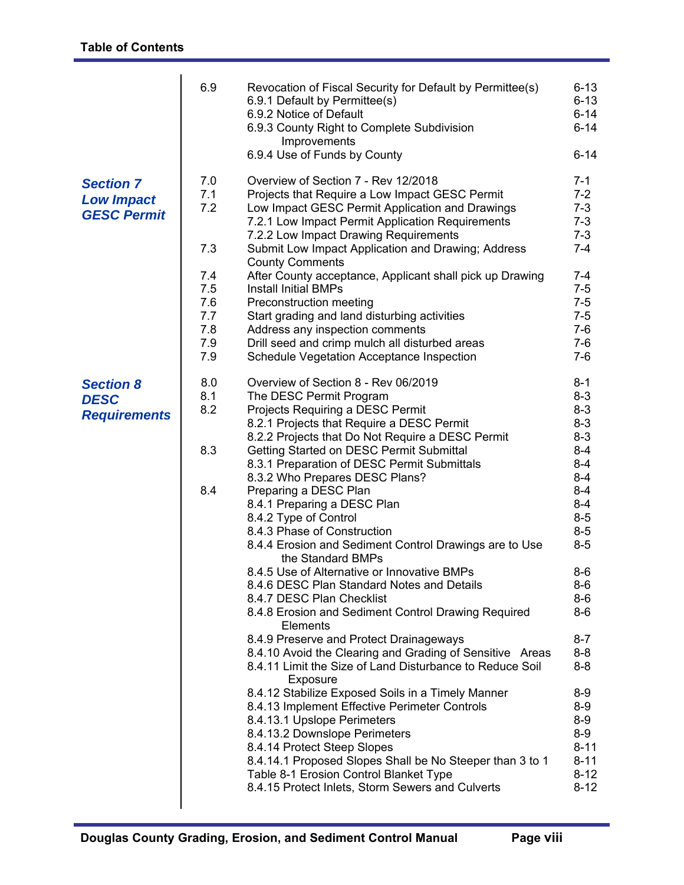|                                                             | 6.9                                           | Revocation of Fiscal Security for Default by Permittee(s)<br>6.9.1 Default by Permittee(s)<br>6.9.2 Notice of Default<br>6.9.3 County Right to Complete Subdivision<br>Improvements<br>6.9.4 Use of Funds by County                                                                                                                                                                                                                                                               | $6 - 13$<br>$6 - 13$<br>$6 - 14$<br>$6 - 14$<br>$6 - 14$                                                            |
|-------------------------------------------------------------|-----------------------------------------------|-----------------------------------------------------------------------------------------------------------------------------------------------------------------------------------------------------------------------------------------------------------------------------------------------------------------------------------------------------------------------------------------------------------------------------------------------------------------------------------|---------------------------------------------------------------------------------------------------------------------|
| <b>Section 7</b><br><b>Low Impact</b><br><b>GESC Permit</b> | 7.0<br>7.1<br>7.2<br>7.3                      | Overview of Section 7 - Rev 12/2018<br>Projects that Require a Low Impact GESC Permit<br>Low Impact GESC Permit Application and Drawings<br>7.2.1 Low Impact Permit Application Requirements<br>7.2.2 Low Impact Drawing Requirements<br>Submit Low Impact Application and Drawing; Address<br><b>County Comments</b>                                                                                                                                                             | $7 - 1$<br>$7 - 2$<br>$7 - 3$<br>$7 - 3$<br>$7 - 3$<br>$7 - 4$                                                      |
|                                                             | 7.4<br>7.5<br>7.6<br>7.7<br>7.8<br>7.9<br>7.9 | After County acceptance, Applicant shall pick up Drawing<br><b>Install Initial BMPs</b><br>Preconstruction meeting<br>Start grading and land disturbing activities<br>Address any inspection comments<br>Drill seed and crimp mulch all disturbed areas<br>Schedule Vegetation Acceptance Inspection                                                                                                                                                                              | $7 - 4$<br>$7 - 5$<br>$7 - 5$<br>$7 - 5$<br>$7-6$<br>$7-6$<br>$7-6$                                                 |
| <b>Section 8</b><br><b>DESC</b><br><b>Requirements</b>      | 8.0<br>8.1<br>8.2<br>8.3<br>8.4               | Overview of Section 8 - Rev 06/2019<br>The DESC Permit Program<br>Projects Requiring a DESC Permit<br>8.2.1 Projects that Require a DESC Permit<br>8.2.2 Projects that Do Not Require a DESC Permit<br>Getting Started on DESC Permit Submittal<br>8.3.1 Preparation of DESC Permit Submittals<br>8.3.2 Who Prepares DESC Plans?<br>Preparing a DESC Plan<br>8.4.1 Preparing a DESC Plan<br>8.4.2 Type of Control                                                                 | $8 - 1$<br>$8 - 3$<br>$8 - 3$<br>$8 - 3$<br>$8 - 3$<br>$8 - 4$<br>$8 - 4$<br>$8 - 4$<br>$8 - 4$<br>$8 - 4$<br>$8-5$ |
|                                                             |                                               | 8.4.3 Phase of Construction<br>8.4.4 Erosion and Sediment Control Drawings are to Use<br>the Standard BMPs<br>8.4.5 Use of Alternative or Innovative BMPs<br>8.4.6 DESC Plan Standard Notes and Details<br>8.4.7 DESC Plan Checklist<br>8.4.8 Erosion and Sediment Control Drawing Required<br><b>Elements</b><br>8.4.9 Preserve and Protect Drainageways<br>8.4.10 Avoid the Clearing and Grading of Sensitive Areas<br>8.4.11 Limit the Size of Land Disturbance to Reduce Soil | $8-5$<br>$8-5$<br>$8-6$<br>$8-6$<br>8-6<br>$8-6$<br>$8 - 7$<br>$8 - 8$<br>$8-8$                                     |
|                                                             |                                               | Exposure<br>8.4.12 Stabilize Exposed Soils in a Timely Manner<br>8.4.13 Implement Effective Perimeter Controls<br>8.4.13.1 Upslope Perimeters<br>8.4.13.2 Downslope Perimeters<br>8.4.14 Protect Steep Slopes<br>8.4.14.1 Proposed Slopes Shall be No Steeper than 3 to 1<br>Table 8-1 Erosion Control Blanket Type<br>8.4.15 Protect Inlets, Storm Sewers and Culverts                                                                                                           | $8-9$<br>$8-9$<br>$8-9$<br>$8-9$<br>$8 - 11$<br>$8 - 11$<br>$8 - 12$<br>$8 - 12$                                    |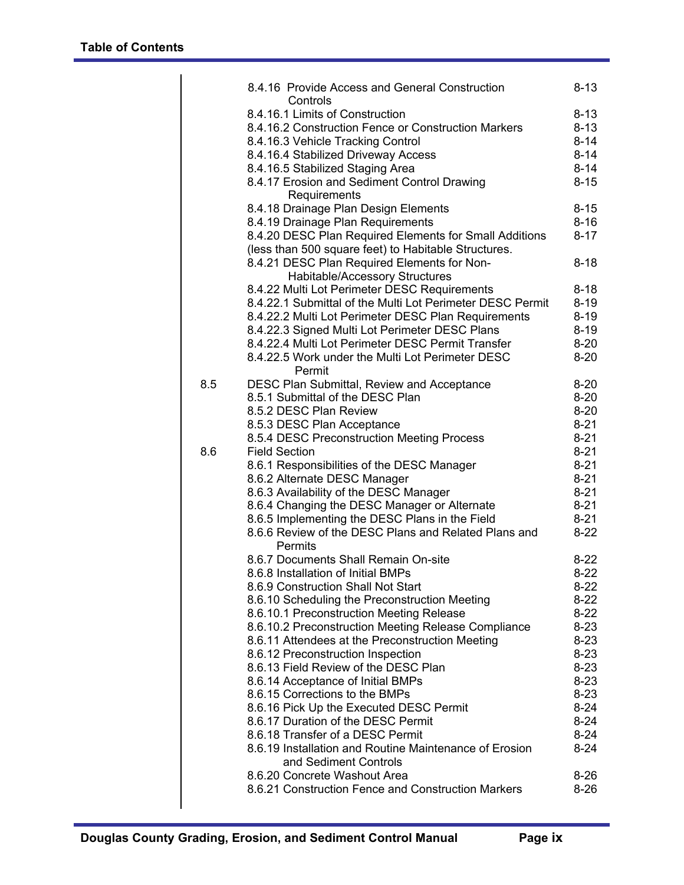|     | 8.4.16 Provide Access and General Construction<br>Controls                                                     | $8 - 13$ |
|-----|----------------------------------------------------------------------------------------------------------------|----------|
|     | 8.4.16.1 Limits of Construction                                                                                | $8 - 13$ |
|     | 8.4.16.2 Construction Fence or Construction Markers                                                            | $8 - 13$ |
|     | 8.4.16.3 Vehicle Tracking Control                                                                              | $8 - 14$ |
|     | 8.4.16.4 Stabilized Driveway Access                                                                            | $8 - 14$ |
|     | 8.4.16.5 Stabilized Staging Area                                                                               | $8 - 14$ |
|     | 8.4.17 Erosion and Sediment Control Drawing                                                                    | $8 - 15$ |
|     | Requirements                                                                                                   |          |
|     | 8.4.18 Drainage Plan Design Elements                                                                           | $8 - 15$ |
|     | 8.4.19 Drainage Plan Requirements                                                                              | $8 - 16$ |
|     | 8.4.20 DESC Plan Required Elements for Small Additions<br>(less than 500 square feet) to Habitable Structures. | $8 - 17$ |
|     | 8.4.21 DESC Plan Required Elements for Non-                                                                    | $8 - 18$ |
|     | Habitable/Accessory Structures                                                                                 |          |
|     | 8.4.22 Multi Lot Perimeter DESC Requirements                                                                   | $8 - 18$ |
|     | 8.4.22.1 Submittal of the Multi Lot Perimeter DESC Permit                                                      | $8 - 19$ |
|     | 8.4.22.2 Multi Lot Perimeter DESC Plan Requirements                                                            | $8 - 19$ |
|     | 8.4.22.3 Signed Multi Lot Perimeter DESC Plans                                                                 | $8 - 19$ |
|     | 8.4.22.4 Multi Lot Perimeter DESC Permit Transfer                                                              | $8 - 20$ |
|     | 8.4.22.5 Work under the Multi Lot Perimeter DESC                                                               | $8 - 20$ |
|     | Permit                                                                                                         |          |
| 8.5 | DESC Plan Submittal, Review and Acceptance                                                                     | $8 - 20$ |
|     | 8.5.1 Submittal of the DESC Plan                                                                               | $8 - 20$ |
|     | 8.5.2 DESC Plan Review                                                                                         | $8 - 20$ |
|     | 8.5.3 DESC Plan Acceptance                                                                                     | $8 - 21$ |
|     | 8.5.4 DESC Preconstruction Meeting Process                                                                     | $8 - 21$ |
| 8.6 | <b>Field Section</b>                                                                                           | $8 - 21$ |
|     | 8.6.1 Responsibilities of the DESC Manager                                                                     | $8 - 21$ |
|     | 8.6.2 Alternate DESC Manager                                                                                   | $8 - 21$ |
|     | 8.6.3 Availability of the DESC Manager                                                                         | $8 - 21$ |
|     | 8.6.4 Changing the DESC Manager or Alternate                                                                   | $8 - 21$ |
|     | 8.6.5 Implementing the DESC Plans in the Field                                                                 | $8 - 21$ |
|     | 8.6.6 Review of the DESC Plans and Related Plans and<br>Permits                                                | $8 - 22$ |
|     | 8.6.7 Documents Shall Remain On-site                                                                           | $8 - 22$ |
|     | 8.6.8 Installation of Initial BMPs                                                                             | $8-22$   |
|     |                                                                                                                |          |
|     | 8.6.9 Construction Shall Not Start                                                                             | $8-22$   |
|     | 8.6.10 Scheduling the Preconstruction Meeting                                                                  | $8-22$   |
|     | 8.6.10.1 Preconstruction Meeting Release                                                                       | $8-22$   |
|     | 8.6.10.2 Preconstruction Meeting Release Compliance                                                            | $8 - 23$ |
|     | 8.6.11 Attendees at the Preconstruction Meeting                                                                | $8 - 23$ |
|     | 8.6.12 Preconstruction Inspection                                                                              | $8 - 23$ |
|     | 8.6.13 Field Review of the DESC Plan                                                                           | $8 - 23$ |
|     | 8.6.14 Acceptance of Initial BMPs                                                                              | $8 - 23$ |
|     | 8.6.15 Corrections to the BMPs                                                                                 | $8 - 23$ |
|     | 8.6.16 Pick Up the Executed DESC Permit                                                                        | $8 - 24$ |
|     | 8.6.17 Duration of the DESC Permit                                                                             | $8 - 24$ |
|     | 8.6.18 Transfer of a DESC Permit                                                                               | $8 - 24$ |
|     | 8.6.19 Installation and Routine Maintenance of Erosion<br>and Sediment Controls                                | $8 - 24$ |
|     | 8.6.20 Concrete Washout Area                                                                                   | $8 - 26$ |
|     | 8.6.21 Construction Fence and Construction Markers                                                             | $8 - 26$ |
|     |                                                                                                                |          |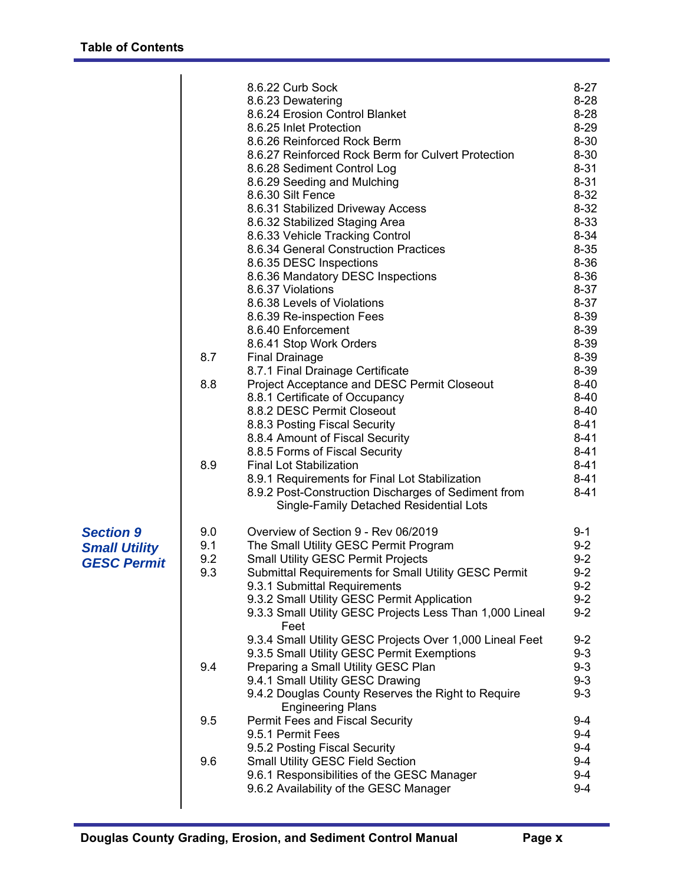|                                                                | 8.7<br>8.8<br>8.9        | 8.6.22 Curb Sock<br>8.6.23 Dewatering<br>8.6.24 Erosion Control Blanket<br>8.6.25 Inlet Protection<br>8.6.26 Reinforced Rock Berm<br>8.6.27 Reinforced Rock Berm for Culvert Protection<br>8.6.28 Sediment Control Log<br>8.6.29 Seeding and Mulching<br>8.6.30 Silt Fence<br>8.6.31 Stabilized Driveway Access<br>8.6.32 Stabilized Staging Area<br>8.6.33 Vehicle Tracking Control<br>8.6.34 General Construction Practices<br>8.6.35 DESC Inspections<br>8.6.36 Mandatory DESC Inspections<br>8.6.37 Violations<br>8.6.38 Levels of Violations<br>8.6.39 Re-inspection Fees<br>8.6.40 Enforcement<br>8.6.41 Stop Work Orders<br><b>Final Drainage</b><br>8.7.1 Final Drainage Certificate<br>Project Acceptance and DESC Permit Closeout<br>8.8.1 Certificate of Occupancy<br>8.8.2 DESC Permit Closeout<br>8.8.3 Posting Fiscal Security<br>8.8.4 Amount of Fiscal Security<br>8.8.5 Forms of Fiscal Security<br><b>Final Lot Stabilization</b><br>8.9.1 Requirements for Final Lot Stabilization<br>8.9.2 Post-Construction Discharges of Sediment from<br>Single-Family Detached Residential Lots | $8 - 27$<br>$8 - 28$<br>$8 - 28$<br>$8 - 29$<br>$8 - 30$<br>$8 - 30$<br>$8 - 31$<br>$8 - 31$<br>$8 - 32$<br>$8 - 32$<br>$8 - 33$<br>$8 - 34$<br>$8 - 35$<br>$8 - 36$<br>$8 - 36$<br>$8 - 37$<br>$8 - 37$<br>8-39<br>8-39<br>8-39<br>8-39<br>8-39<br>$8 - 40$<br>$8 - 40$<br>$8 - 40$<br>$8 - 41$<br>$8 - 41$<br>$8 - 41$<br>$8 - 41$<br>$8 - 41$<br>$8 - 41$ |
|----------------------------------------------------------------|--------------------------|---------------------------------------------------------------------------------------------------------------------------------------------------------------------------------------------------------------------------------------------------------------------------------------------------------------------------------------------------------------------------------------------------------------------------------------------------------------------------------------------------------------------------------------------------------------------------------------------------------------------------------------------------------------------------------------------------------------------------------------------------------------------------------------------------------------------------------------------------------------------------------------------------------------------------------------------------------------------------------------------------------------------------------------------------------------------------------------------------------|--------------------------------------------------------------------------------------------------------------------------------------------------------------------------------------------------------------------------------------------------------------------------------------------------------------------------------------------------------------|
| <b>Section 9</b><br><b>Small Utility</b><br><b>GESC Permit</b> | 9.0<br>9.1<br>9.2<br>9.3 | Overview of Section 9 - Rev 06/2019<br>The Small Utility GESC Permit Program<br><b>Small Utility GESC Permit Projects</b><br>Submittal Requirements for Small Utility GESC Permit<br>9.3.1 Submittal Requirements<br>9.3.2 Small Utility GESC Permit Application<br>9.3.3 Small Utility GESC Projects Less Than 1,000 Lineal<br>Feet                                                                                                                                                                                                                                                                                                                                                                                                                                                                                                                                                                                                                                                                                                                                                                    | $9 - 1$<br>$9 - 2$<br>$9 - 2$<br>$9 - 2$<br>$9 - 2$<br>$9 - 2$<br>$9 - 2$                                                                                                                                                                                                                                                                                    |
|                                                                | 9.4                      | 9.3.4 Small Utility GESC Projects Over 1,000 Lineal Feet<br>9.3.5 Small Utility GESC Permit Exemptions<br>Preparing a Small Utility GESC Plan<br>9.4.1 Small Utility GESC Drawing<br>9.4.2 Douglas County Reserves the Right to Require                                                                                                                                                                                                                                                                                                                                                                                                                                                                                                                                                                                                                                                                                                                                                                                                                                                                 | $9 - 2$<br>$9 - 3$<br>$9 - 3$<br>$9 - 3$<br>$9 - 3$                                                                                                                                                                                                                                                                                                          |
|                                                                | 9.5                      | <b>Engineering Plans</b><br>Permit Fees and Fiscal Security<br>9.5.1 Permit Fees                                                                                                                                                                                                                                                                                                                                                                                                                                                                                                                                                                                                                                                                                                                                                                                                                                                                                                                                                                                                                        | $9 - 4$<br>$9 - 4$                                                                                                                                                                                                                                                                                                                                           |
|                                                                | 9.6                      | 9.5.2 Posting Fiscal Security<br><b>Small Utility GESC Field Section</b><br>9.6.1 Responsibilities of the GESC Manager<br>9.6.2 Availability of the GESC Manager                                                                                                                                                                                                                                                                                                                                                                                                                                                                                                                                                                                                                                                                                                                                                                                                                                                                                                                                        | $9 - 4$<br>$9 - 4$<br>$9 - 4$<br>$9 - 4$                                                                                                                                                                                                                                                                                                                     |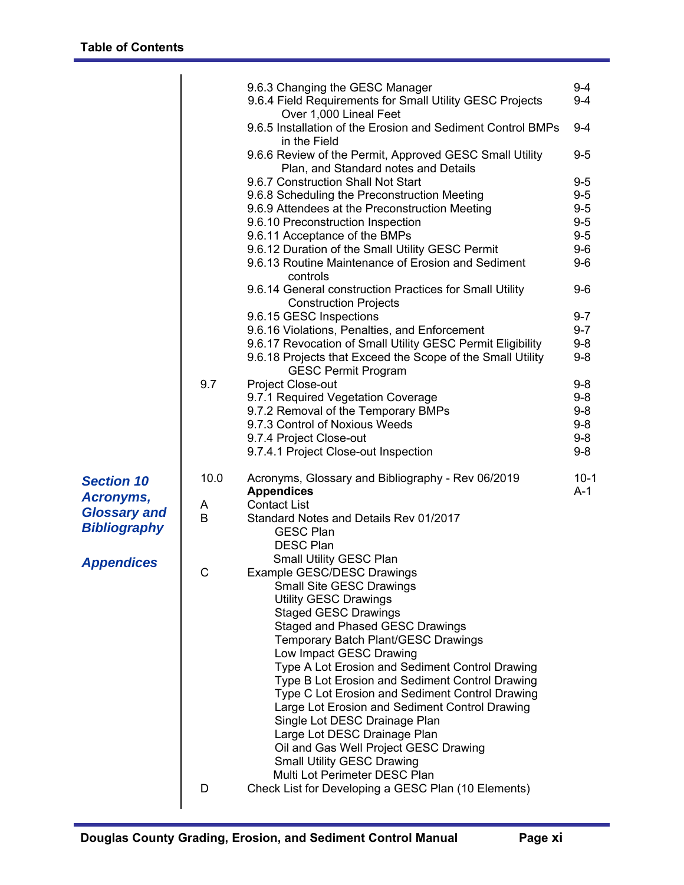|                                            |      | 9.6.3 Changing the GESC Manager                                                                 | $9 - 4$         |
|--------------------------------------------|------|-------------------------------------------------------------------------------------------------|-----------------|
|                                            |      | 9.6.4 Field Requirements for Small Utility GESC Projects<br>Over 1,000 Lineal Feet              | $9 - 4$         |
|                                            |      | 9.6.5 Installation of the Erosion and Sediment Control BMPs<br>in the Field                     | $9 - 4$         |
|                                            |      | 9.6.6 Review of the Permit, Approved GESC Small Utility<br>Plan, and Standard notes and Details | $9 - 5$         |
|                                            |      | 9.6.7 Construction Shall Not Start                                                              | $9 - 5$         |
|                                            |      | 9.6.8 Scheduling the Preconstruction Meeting                                                    | $9-5$           |
|                                            |      | 9.6.9 Attendees at the Preconstruction Meeting                                                  | $9-5$           |
|                                            |      | 9.6.10 Preconstruction Inspection                                                               | $9-5$           |
|                                            |      | 9.6.11 Acceptance of the BMPs                                                                   | $9-5$           |
|                                            |      | 9.6.12 Duration of the Small Utility GESC Permit                                                | $9-6$           |
|                                            |      | 9.6.13 Routine Maintenance of Erosion and Sediment<br>controls                                  | $9-6$           |
|                                            |      | 9.6.14 General construction Practices for Small Utility<br><b>Construction Projects</b>         | $9-6$           |
|                                            |      | 9.6.15 GESC Inspections                                                                         | $9 - 7$         |
|                                            |      | 9.6.16 Violations, Penalties, and Enforcement                                                   | $9 - 7$         |
|                                            |      | 9.6.17 Revocation of Small Utility GESC Permit Eligibility                                      | $9-8$           |
|                                            |      | 9.6.18 Projects that Exceed the Scope of the Small Utility<br><b>GESC Permit Program</b>        | $9-8$           |
|                                            | 9.7  | Project Close-out                                                                               | $9 - 8$         |
|                                            |      | 9.7.1 Required Vegetation Coverage                                                              | $9-8$<br>$9-8$  |
|                                            |      | 9.7.2 Removal of the Temporary BMPs<br>9.7.3 Control of Noxious Weeds                           | $9-8$           |
|                                            |      | 9.7.4 Project Close-out                                                                         | $9-8$           |
|                                            |      | 9.7.4.1 Project Close-out Inspection                                                            | $9-8$           |
| <b>Section 10</b>                          | 10.0 | Acronyms, Glossary and Bibliography - Rev 06/2019<br><b>Appendices</b>                          | $10-1$<br>$A-1$ |
| Acronyms,                                  | A    | <b>Contact List</b>                                                                             |                 |
| <b>Glossary and</b><br><b>Bibliography</b> | B    | Standard Notes and Details Rev 01/2017<br><b>GESC Plan</b>                                      |                 |
| <b>Appendices</b>                          |      | <b>DESC Plan</b><br><b>Small Utility GESC Plan</b>                                              |                 |
|                                            | C    | Example GESC/DESC Drawings                                                                      |                 |
|                                            |      | Small Site GESC Drawings                                                                        |                 |
|                                            |      | <b>Utility GESC Drawings</b>                                                                    |                 |
|                                            |      | <b>Staged GESC Drawings</b>                                                                     |                 |
|                                            |      | Staged and Phased GESC Drawings<br>Temporary Batch Plant/GESC Drawings                          |                 |
|                                            |      | Low Impact GESC Drawing                                                                         |                 |
|                                            |      | Type A Lot Erosion and Sediment Control Drawing                                                 |                 |
|                                            |      | Type B Lot Erosion and Sediment Control Drawing                                                 |                 |
|                                            |      | Type C Lot Erosion and Sediment Control Drawing                                                 |                 |
|                                            |      | Large Lot Erosion and Sediment Control Drawing                                                  |                 |
|                                            |      | Single Lot DESC Drainage Plan                                                                   |                 |
|                                            |      | Large Lot DESC Drainage Plan                                                                    |                 |
|                                            |      | Oil and Gas Well Project GESC Drawing                                                           |                 |
|                                            |      | <b>Small Utility GESC Drawing</b>                                                               |                 |
|                                            | D    | Multi Lot Perimeter DESC Plan<br>Check List for Developing a GESC Plan (10 Elements)            |                 |
|                                            |      |                                                                                                 |                 |
|                                            |      |                                                                                                 |                 |